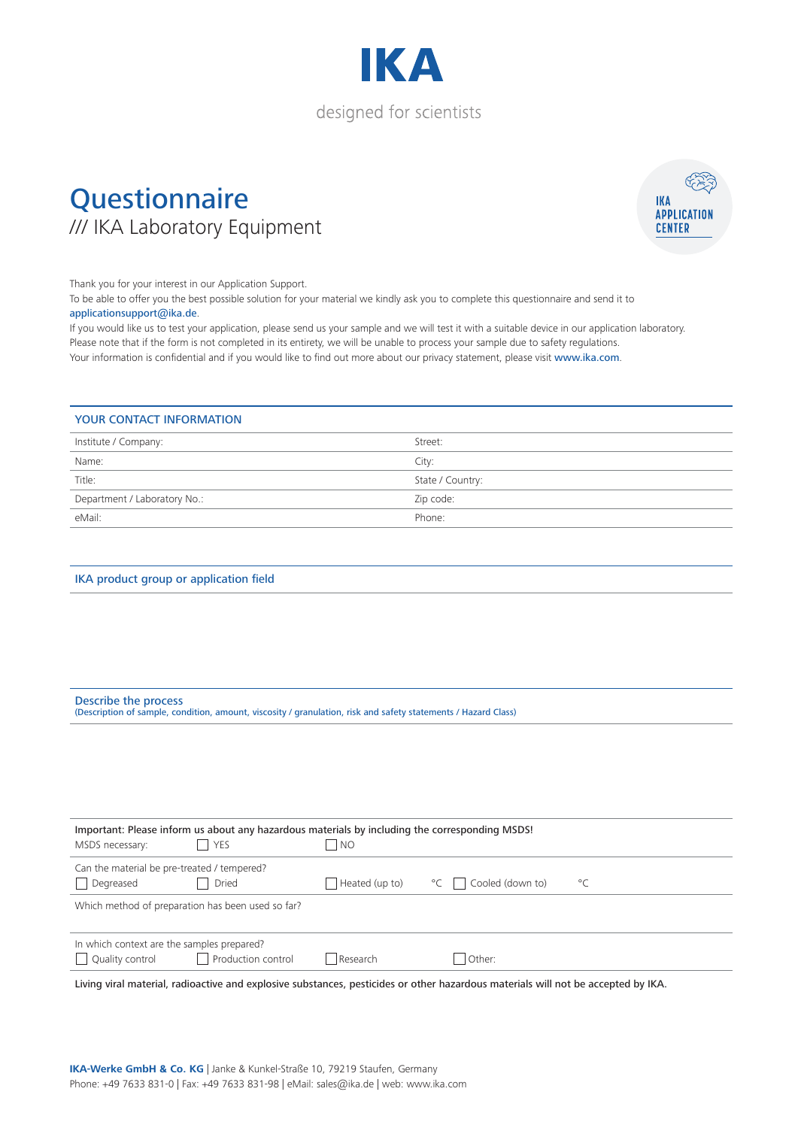

### **Questionnaire** /// IKA Laboratory Equipment



Thank you for your interest in our Application Support.

To be able to offer you the best possible solution for your material we kindly ask you to complete this questionnaire and send it to

#### applicationsupport@ika.de.

If you would like us to test your application, please send us your sample and we will test it with a suitable device in our application laboratory. Please note that if the form is not completed in its entirety, we will be unable to process your sample due to safety regulations. Your information is confidential and if you would like to find out more about our privacy statement, please visit www.ika.com.

#### YOUR CONTACT INFORMATION

| Institute / Company:         | Street:          |
|------------------------------|------------------|
| Name:                        | City:            |
| Title:                       | State / Country: |
| Department / Laboratory No.: | Zip code:        |
| eMail:                       | Phone:           |

#### IKA product group or application field

| Describe the process                                                                                           |  |
|----------------------------------------------------------------------------------------------------------------|--|
| (Description of sample, condition, amount, viscosity / granulation, risk and safety statements / Hazard Class) |  |

| MSDS necessary:                                                 | Important: Please inform us about any hazardous materials by including the corresponding MSDS!<br>YES | I NO           |                  |              |
|-----------------------------------------------------------------|-------------------------------------------------------------------------------------------------------|----------------|------------------|--------------|
| Can the material be pre-treated / tempered?<br>Degreased        | Dried                                                                                                 | Heated (up to) | Cooled (down to) | $^{\circ}$ C |
| Which method of preparation has been used so far?               |                                                                                                       |                |                  |              |
| In which context are the samples prepared?<br>  Quality control | Production control                                                                                    | Research       | Other:           |              |

Living viral material, radioactive and explosive substances, pesticides or other hazardous materials will not be accepted by IKA.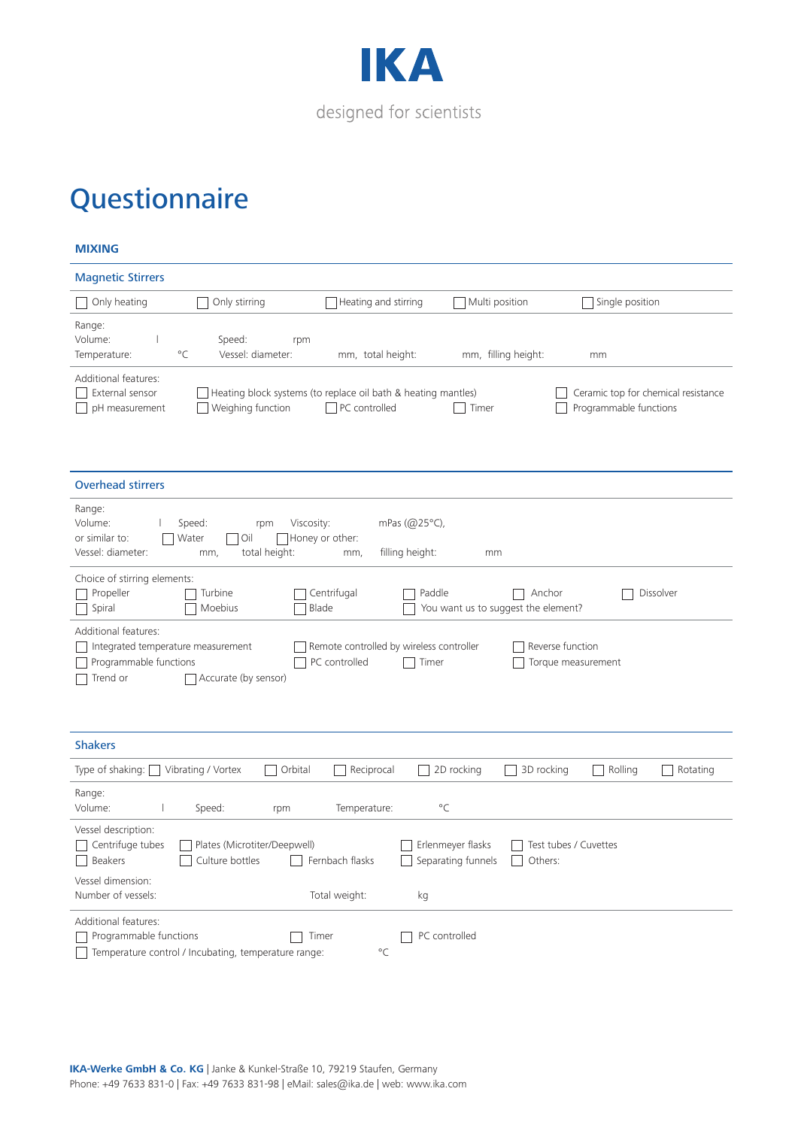

#### **MIXING**

| <b>Magnetic Stirrers</b>                                                                                                        |                                                                                       |                                                    |                                                               |
|---------------------------------------------------------------------------------------------------------------------------------|---------------------------------------------------------------------------------------|----------------------------------------------------|---------------------------------------------------------------|
| Only heating<br>Only stirring                                                                                                   | Heating and stirring                                                                  | Multi position                                     | Single position                                               |
| Range:<br>Volume:<br>Speed:<br>rpm<br>$^{\circ}$ C<br>Vessel: diameter:<br>Temperature:                                         | mm, total height:                                                                     | mm, filling height:                                | mm                                                            |
| Additional features:<br>External sensor<br>Weighing function<br>pH measurement                                                  | Heating block systems (to replace oil bath & heating mantles)<br>$\Box$ PC controlled | Timer                                              | Ceramic top for chemical resistance<br>Programmable functions |
| <b>Overhead stirrers</b>                                                                                                        |                                                                                       |                                                    |                                                               |
| Range:<br>Volume:<br>Speed:<br>Viscosity:<br>rpm<br>or similar to:<br>Water<br>Oil<br>total height:<br>Vessel: diameter:<br>mm, | mPas (@25°C),<br>Honey or other:<br>filling height:<br>mm,                            | mm                                                 |                                                               |
| Choice of stirring elements:<br>Propeller<br>Turbine<br>Spiral<br>Moebius                                                       | Centrifugal<br>Paddle<br>Blade                                                        | Anchor<br>You want us to suggest the element?      | Dissolver                                                     |
| Additional features:<br>Integrated temperature measurement<br>Programmable functions<br>Trend or<br>Accurate (by sensor)        | Remote controlled by wireless controller<br>PC controlled<br>Timer                    | Reverse function                                   | Torque measurement                                            |
| <b>Shakers</b>                                                                                                                  |                                                                                       |                                                    |                                                               |
| Orbital<br>Type of shaking: $\boxed{\phantom{a}}$<br>Vibrating / Vortex                                                         | Reciprocal                                                                            | 2D rocking<br>3D rocking                           | Rolling<br>Rotating                                           |
| Range:<br>Volume:<br>Speed:<br>rpm                                                                                              | $^{\circ}$ C<br>Temperature:                                                          |                                                    |                                                               |
| Vessel description:<br>Plates (Microtiter/Deepwell)<br>Centrifuge tubes<br>Beakers<br>Culture bottles<br>Vessel dimension:      | Fernbach flasks                                                                       | Erlenmeyer flasks<br>Separating funnels<br>Others: | Test tubes / Cuvettes                                         |
| Number of vessels:                                                                                                              | Total weight:<br>kg                                                                   |                                                    |                                                               |
| <b>Additional features:</b><br>Programmable functions<br>Temperature control / Incubating, temperature range:                   | PC controlled<br>Timer<br>$^{\circ}$ C                                                |                                                    |                                                               |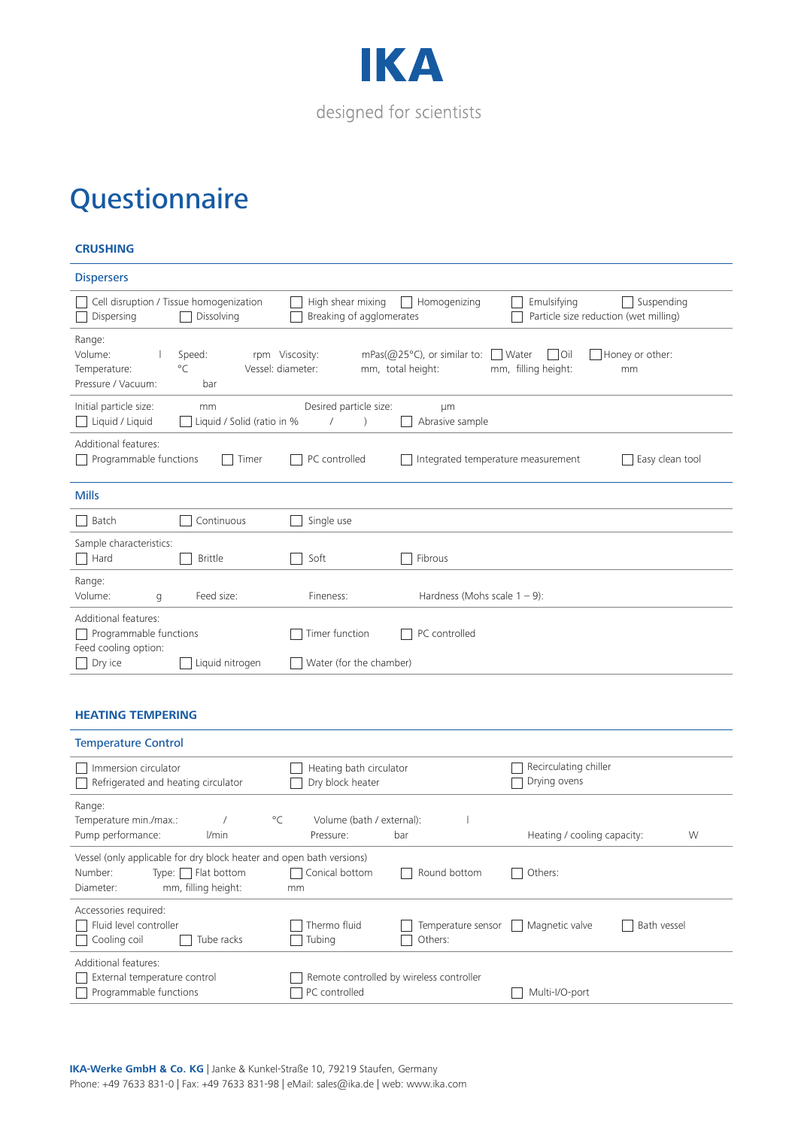

#### **CRUSHING**

| <b>Dispersers</b>                                           |                                                       |                                               |                                                                                                                      |
|-------------------------------------------------------------|-------------------------------------------------------|-----------------------------------------------|----------------------------------------------------------------------------------------------------------------------|
| Dispersing                                                  | Cell disruption / Tissue homogenization<br>Dissolving | High shear mixing<br>Breaking of agglomerates | Homogenizing<br>Emulsifying<br>Suspending<br>Particle size reduction (wet milling)                                   |
| Range:<br>Volume:<br>Temperature:<br>Pressure / Vacuum:     | Speed:<br>$^{\circ}C$<br>Vessel: diameter:<br>bar     | rpm Viscosity:                                | Honey or other:<br>mPas( $@25°C$ ), or similar to:<br>Water<br>Oil<br>mm, total height:<br>mm, filling height:<br>mm |
| Initial particle size:<br>Liquid / Liquid                   | mm<br>Liquid / Solid (ratio in %                      | Desired particle size:                        | um<br>Abrasive sample                                                                                                |
| Additional features:<br>Programmable functions              | Timer                                                 | PC controlled                                 | Integrated temperature measurement<br>Easy clean tool                                                                |
| <b>Mills</b>                                                |                                                       |                                               |                                                                                                                      |
| Batch<br>$\mathbf{I}$                                       | Continuous                                            | Single use                                    |                                                                                                                      |
| Sample characteristics:<br>Hard<br>$\overline{\phantom{a}}$ | <b>Brittle</b>                                        | Soft                                          | Fibrous                                                                                                              |
| Range:<br>Volume:<br>q                                      | Feed size:                                            | Fineness:                                     | Hardness (Mohs scale $1 - 9$ ):                                                                                      |
| Additional features:<br>Programmable functions              |                                                       | Timer function                                | PC controlled                                                                                                        |
| Feed cooling option:                                        |                                                       |                                               |                                                                                                                      |

#### **HEATING TEMPERING**

| <b>Temperature Control</b>                                                                                                                   |                                                           |                                       |
|----------------------------------------------------------------------------------------------------------------------------------------------|-----------------------------------------------------------|---------------------------------------|
| Immersion circulator<br>Refrigerated and heating circulator                                                                                  | Heating bath circulator<br>Dry block heater               | Recirculating chiller<br>Drying ovens |
| Range:<br>$^{\circ}$ C<br>Temperature min./max.:<br>Pump performance:<br>l/min                                                               | Volume (bath / external):<br>bar<br>Pressure:             | Heating / cooling capacity:<br>W      |
| Vessel (only applicable for dry block heater and open bath versions)<br>Number:<br>Type:     Flat bottom<br>mm, filling height:<br>Diameter: | Conical bottom<br>Round bottom<br>mm                      | Others:                               |
| Accessories required:<br>Fluid level controller<br>Cooling coil<br>Tube racks                                                                | Thermo fluid<br>Temperature sensor<br>Others:<br>Tubing   | Bath vessel<br>Magnetic valve         |
| Additional features:<br>External temperature control<br>Programmable functions                                                               | Remote controlled by wireless controller<br>PC controlled | Multi-I/O-port                        |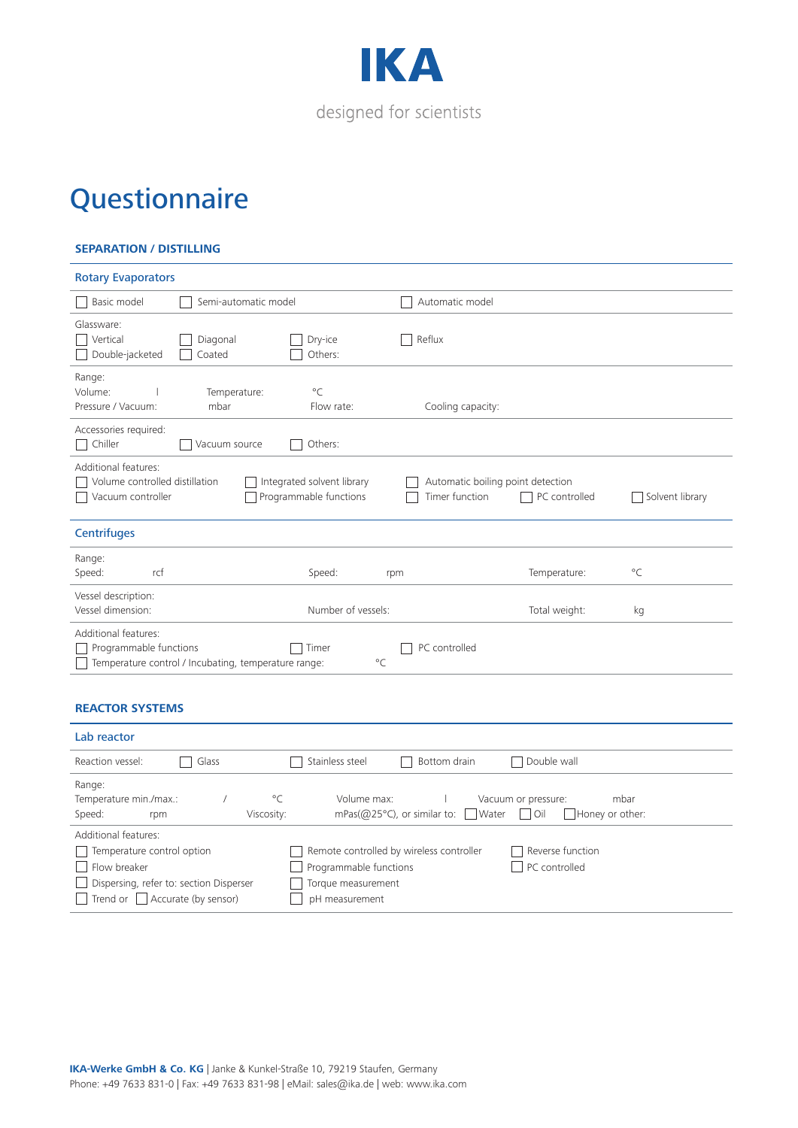

#### **SEPARATION / DISTILLING**

| <b>Rotary Evaporators</b>                                                                                                                        |                      |                                                      |                                                     |               |                 |
|--------------------------------------------------------------------------------------------------------------------------------------------------|----------------------|------------------------------------------------------|-----------------------------------------------------|---------------|-----------------|
| Basic model                                                                                                                                      | Semi-automatic model |                                                      | Automatic model                                     |               |                 |
| Glassware:<br>Vertical<br>Double-jacketed                                                                                                        | Diagonal<br>Coated   | Dry-ice<br>Others:                                   | Reflux                                              |               |                 |
| Range:<br>Volume:<br>Pressure / Vacuum:                                                                                                          | Temperature:<br>mbar | $^{\circ}$ C<br>Flow rate:                           | Cooling capacity:                                   |               |                 |
| Accessories required:<br>Chiller<br>$\Box$                                                                                                       | Vacuum source        | Others:                                              |                                                     |               |                 |
| Additional features:<br>Volume controlled distillation<br>Vacuum controller                                                                      |                      | Integrated solvent library<br>Programmable functions | Automatic boiling point detection<br>Timer function | PC controlled | Solvent library |
| <b>Centrifuges</b>                                                                                                                               |                      |                                                      |                                                     |               |                 |
| Range:<br>Speed:<br>rcf                                                                                                                          |                      | Speed:                                               | rpm                                                 | Temperature:  | $^{\circ}$ C    |
| Vessel description:<br>Vessel dimension:                                                                                                         |                      | Number of vessels:                                   |                                                     | Total weight: | kg              |
| Additional features:<br>Programmable functions<br>PC controlled<br>Timer<br>$^{\circ}$ C<br>Temperature control / Incubating, temperature range: |                      |                                                      |                                                     |               |                 |
| <b>REACTOR SYSTEMS</b>                                                                                                                           |                      |                                                      |                                                     |               |                 |
| Lab reactor                                                                                                                                      |                      |                                                      |                                                     |               |                 |

| Reaction vessel:<br>Glass                   | Stainless steel<br>Double wall<br>Bottom drain<br>$\sim$                |
|---------------------------------------------|-------------------------------------------------------------------------|
| Range:                                      |                                                                         |
| $^{\circ}$ C<br>Temperature min./max.:      | Volume max:<br>Vacuum or pressure:<br>mbar                              |
| Speed:<br>Viscosity:<br>rpm                 | mPas( $@25^{\circ}$ C), or similar to: Water   Oil<br>  Honey or other: |
| Additional features:                        |                                                                         |
| Temperature control option                  | Remote controlled by wireless controller<br>Reverse function            |
| Flow breaker                                | Programmable functions<br>PC controlled                                 |
| Dispersing, refer to: section Disperser     | Torque measurement                                                      |
| $\Box$ Trend or $\Box$ Accurate (by sensor) | pH measurement                                                          |